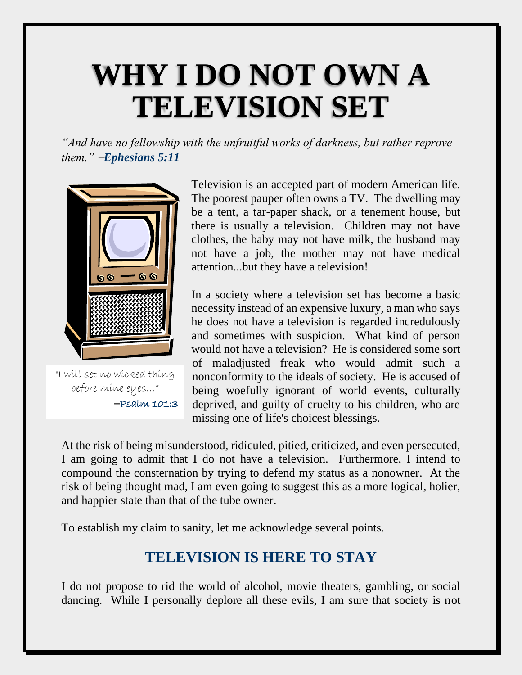# **WHY I DO NOT OWN A TELEVISION SET**

*"And have no fellowship with the unfruitful works of darkness, but rather reprove them."* −*Ephesians 5:11*



"I will set no wicked thing before mine eyes…" −Psalm 101:3

Television is an accepted part of modern American life. The poorest pauper often owns a TV. The dwelling may be a tent, a tar-paper shack, or a tenement house, but there is usually a television. Children may not have clothes, the baby may not have milk, the husband may not have a job, the mother may not have medical attention...but they have a television!

In a society where a television set has become a basic necessity instead of an expensive luxury, a man who says he does not have a television is regarded incredulously and sometimes with suspicion. What kind of person would not have a television? He is considered some sort of maladjusted freak who would admit such a nonconformity to the ideals of society. He is accused of being woefully ignorant of world events, culturally deprived, and guilty of cruelty to his children, who are missing one of life's choicest blessings.

At the risk of being misunderstood, ridiculed, pitied, criticized, and even persecuted, I am going to admit that I do not have a television. Furthermore, I intend to compound the consternation by trying to defend my status as a nonowner. At the risk of being thought mad, I am even going to suggest this as a more logical, holier, and happier state than that of the tube owner.

To establish my claim to sanity, let me acknowledge several points.

# **TELEVISION IS HERE TO STAY**

I do not propose to rid the world of alcohol, movie theaters, gambling, or social dancing. While I personally deplore all these evils, I am sure that society is not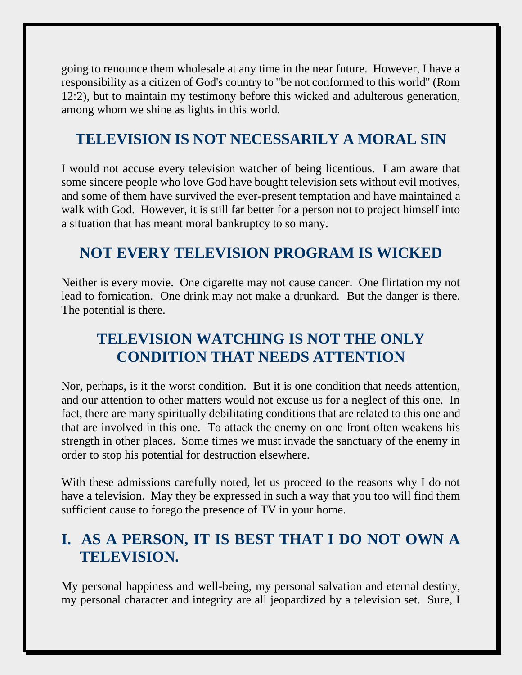going to renounce them wholesale at any time in the near future. However, I have a responsibility as a citizen of God's country to "be not conformed to this world" (Rom 12:2), but to maintain my testimony before this wicked and adulterous generation, among whom we shine as lights in this world.

# **TELEVISION IS NOT NECESSARILY A MORAL SIN**

I would not accuse every television watcher of being licentious. I am aware that some sincere people who love God have bought television sets without evil motives, and some of them have survived the ever-present temptation and have maintained a walk with God. However, it is still far better for a person not to project himself into a situation that has meant moral bankruptcy to so many.

# **NOT EVERY TELEVISION PROGRAM IS WICKED**

Neither is every movie. One cigarette may not cause cancer. One flirtation my not lead to fornication. One drink may not make a drunkard. But the danger is there. The potential is there.

# **TELEVISION WATCHING IS NOT THE ONLY CONDITION THAT NEEDS ATTENTION**

Nor, perhaps, is it the worst condition. But it is one condition that needs attention, and our attention to other matters would not excuse us for a neglect of this one. In fact, there are many spiritually debilitating conditions that are related to this one and that are involved in this one. To attack the enemy on one front often weakens his strength in other places. Some times we must invade the sanctuary of the enemy in order to stop his potential for destruction elsewhere.

With these admissions carefully noted, let us proceed to the reasons why I do not have a television. May they be expressed in such a way that you too will find them sufficient cause to forego the presence of TV in your home.

# **I. AS A PERSON, IT IS BEST THAT I DO NOT OWN A TELEVISION.**

My personal happiness and well-being, my personal salvation and eternal destiny, my personal character and integrity are all jeopardized by a television set. Sure, I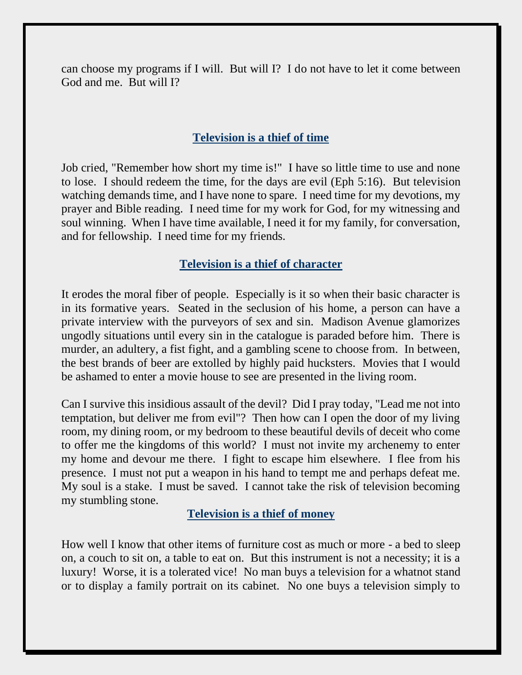can choose my programs if I will. But will I? I do not have to let it come between God and me. But will I?

## **Television is a thief of time**

Job cried, "Remember how short my time is!" I have so little time to use and none to lose. I should redeem the time, for the days are evil (Eph 5:16). But television watching demands time, and I have none to spare. I need time for my devotions, my prayer and Bible reading. I need time for my work for God, for my witnessing and soul winning. When I have time available, I need it for my family, for conversation, and for fellowship. I need time for my friends.

#### **Television is a thief of character**

It erodes the moral fiber of people. Especially is it so when their basic character is in its formative years. Seated in the seclusion of his home, a person can have a private interview with the purveyors of sex and sin. Madison Avenue glamorizes ungodly situations until every sin in the catalogue is paraded before him. There is murder, an adultery, a fist fight, and a gambling scene to choose from. In between, the best brands of beer are extolled by highly paid hucksters. Movies that I would be ashamed to enter a movie house to see are presented in the living room.

Can I survive this insidious assault of the devil? Did I pray today, "Lead me not into temptation, but deliver me from evil"? Then how can I open the door of my living room, my dining room, or my bedroom to these beautiful devils of deceit who come to offer me the kingdoms of this world? I must not invite my archenemy to enter my home and devour me there. I fight to escape him elsewhere. I flee from his presence. I must not put a weapon in his hand to tempt me and perhaps defeat me. My soul is a stake. I must be saved. I cannot take the risk of television becoming my stumbling stone.

#### **Television is a thief of money**

How well I know that other items of furniture cost as much or more - a bed to sleep on, a couch to sit on, a table to eat on. But this instrument is not a necessity; it is a luxury! Worse, it is a tolerated vice! No man buys a television for a whatnot stand or to display a family portrait on its cabinet. No one buys a television simply to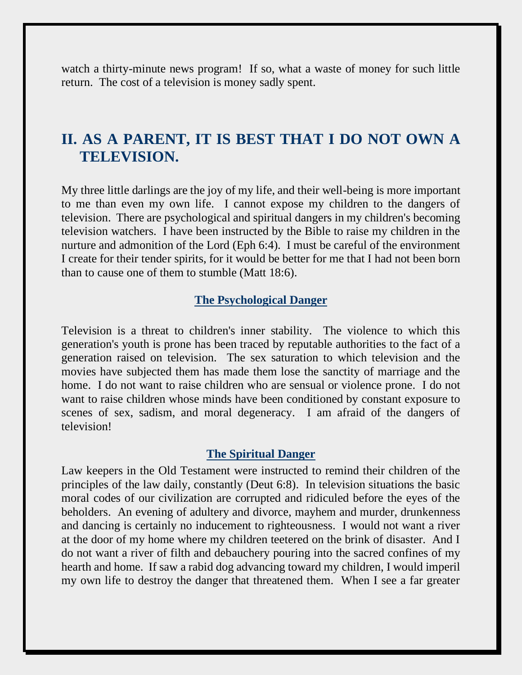watch a thirty-minute news program! If so, what a waste of money for such little return. The cost of a television is money sadly spent.

## **II. AS A PARENT, IT IS BEST THAT I DO NOT OWN A TELEVISION.**

My three little darlings are the joy of my life, and their well-being is more important to me than even my own life. I cannot expose my children to the dangers of television. There are psychological and spiritual dangers in my children's becoming television watchers. I have been instructed by the Bible to raise my children in the nurture and admonition of the Lord (Eph 6:4). I must be careful of the environment I create for their tender spirits, for it would be better for me that I had not been born than to cause one of them to stumble (Matt 18:6).

#### **The Psychological Danger**

Television is a threat to children's inner stability. The violence to which this generation's youth is prone has been traced by reputable authorities to the fact of a generation raised on television. The sex saturation to which television and the movies have subjected them has made them lose the sanctity of marriage and the home. I do not want to raise children who are sensual or violence prone. I do not want to raise children whose minds have been conditioned by constant exposure to scenes of sex, sadism, and moral degeneracy. I am afraid of the dangers of television!

#### **The Spiritual Danger**

Law keepers in the Old Testament were instructed to remind their children of the principles of the law daily, constantly (Deut 6:8). In television situations the basic moral codes of our civilization are corrupted and ridiculed before the eyes of the beholders. An evening of adultery and divorce, mayhem and murder, drunkenness and dancing is certainly no inducement to righteousness. I would not want a river at the door of my home where my children teetered on the brink of disaster. And I do not want a river of filth and debauchery pouring into the sacred confines of my hearth and home. If saw a rabid dog advancing toward my children, I would imperil my own life to destroy the danger that threatened them. When I see a far greater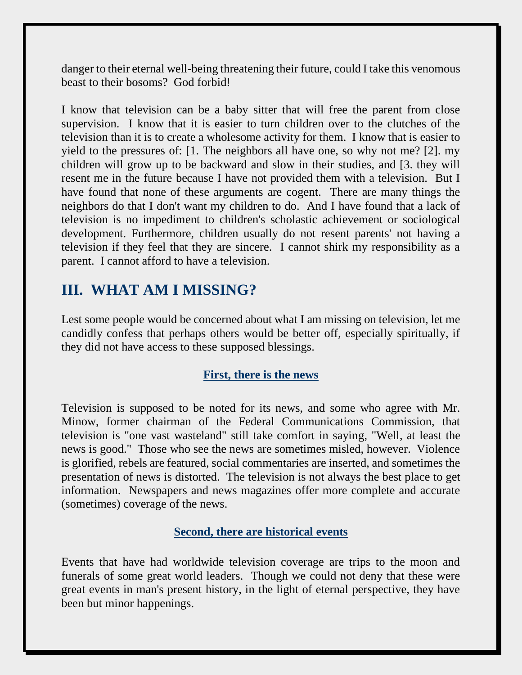danger to their eternal well-being threatening their future, could I take this venomous beast to their bosoms? God forbid!

I know that television can be a baby sitter that will free the parent from close supervision. I know that it is easier to turn children over to the clutches of the television than it is to create a wholesome activity for them. I know that is easier to yield to the pressures of: [1. The neighbors all have one, so why not me? [2]. my children will grow up to be backward and slow in their studies, and [3. they will resent me in the future because I have not provided them with a television. But I have found that none of these arguments are cogent. There are many things the neighbors do that I don't want my children to do. And I have found that a lack of television is no impediment to children's scholastic achievement or sociological development. Furthermore, children usually do not resent parents' not having a television if they feel that they are sincere. I cannot shirk my responsibility as a parent. I cannot afford to have a television.

# **III. WHAT AM I MISSING?**

Lest some people would be concerned about what I am missing on television, let me candidly confess that perhaps others would be better off, especially spiritually, if they did not have access to these supposed blessings.

### **First, there is the news**

Television is supposed to be noted for its news, and some who agree with Mr. Minow, former chairman of the Federal Communications Commission, that television is "one vast wasteland" still take comfort in saying, "Well, at least the news is good." Those who see the news are sometimes misled, however. Violence is glorified, rebels are featured, social commentaries are inserted, and sometimes the presentation of news is distorted. The television is not always the best place to get information. Newspapers and news magazines offer more complete and accurate (sometimes) coverage of the news.

#### **Second, there are historical events**

Events that have had worldwide television coverage are trips to the moon and funerals of some great world leaders. Though we could not deny that these were great events in man's present history, in the light of eternal perspective, they have been but minor happenings.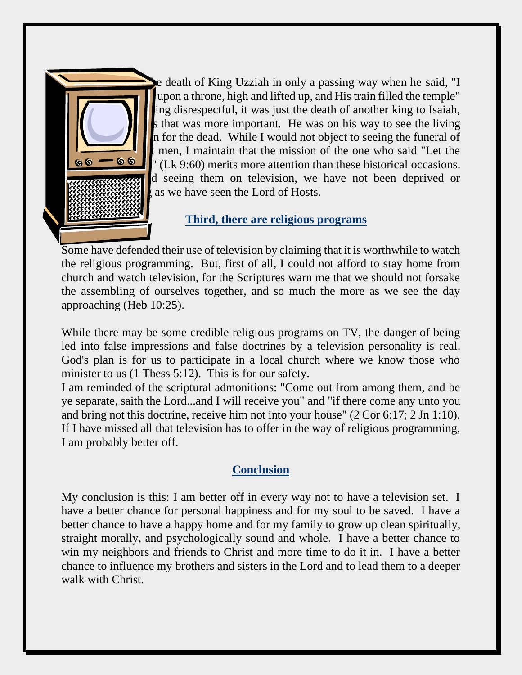

e death of King Uzziah in only a passing way when he said, "I upon a throne, high and lifted up, and His train filled the temple" ing disrespectful, it was just the death of another king to Isaiah, s that was more important. He was on his way to see the living n for the dead. While I would not object to seeing the funeral of men, I maintain that the mission of the one who said "Let the dead bury the dead" (Lk 9:60) merits more attention than these historical occasions. d seeing them on television, we have not been deprived or as we have seen the Lord of Hosts.

### **Third, there are religious programs**

Some have defended their use of television by claiming that it is worthwhile to watch the religious programming. But, first of all, I could not afford to stay home from church and watch television, for the Scriptures warn me that we should not forsake the assembling of ourselves together, and so much the more as we see the day approaching (Heb 10:25).

While there may be some credible religious programs on TV, the danger of being led into false impressions and false doctrines by a television personality is real. God's plan is for us to participate in a local church where we know those who minister to us (1 Thess 5:12). This is for our safety.

I am reminded of the scriptural admonitions: "Come out from among them, and be ye separate, saith the Lord...and I will receive you" and "if there come any unto you and bring not this doctrine, receive him not into your house" (2 Cor 6:17; 2 Jn 1:10). If I have missed all that television has to offer in the way of religious programming, I am probably better off.

### **Conclusion**

My conclusion is this: I am better off in every way not to have a television set. I have a better chance for personal happiness and for my soul to be saved. I have a better chance to have a happy home and for my family to grow up clean spiritually, straight morally, and psychologically sound and whole. I have a better chance to win my neighbors and friends to Christ and more time to do it in. I have a better chance to influence my brothers and sisters in the Lord and to lead them to a deeper walk with Christ.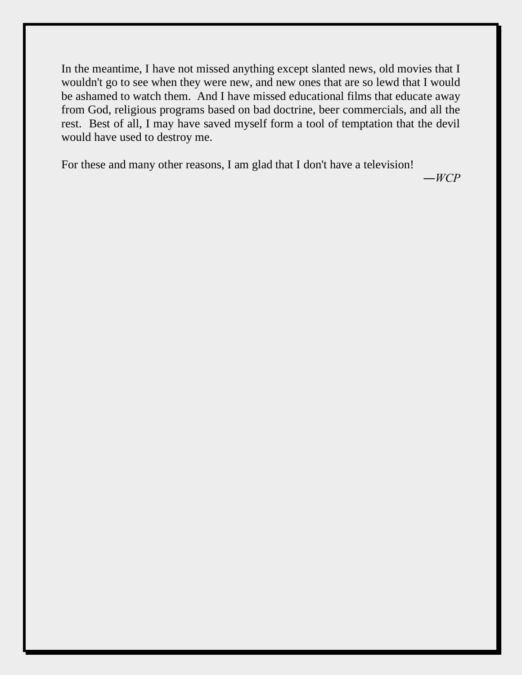In the meantime, I have not missed anything except slanted news, old movies that I wouldn't go to see when they were new, and new ones that are so lewd that I would be ashamed to watch them. And I have missed educational films that educate away from God, religious programs based on bad doctrine, beer commercials, and all the rest. Best of all, I may have saved myself form a tool of temptation that the devil would have used to destroy me.

For these and many other reasons, I am glad that I don't have a television!

*―WCP*